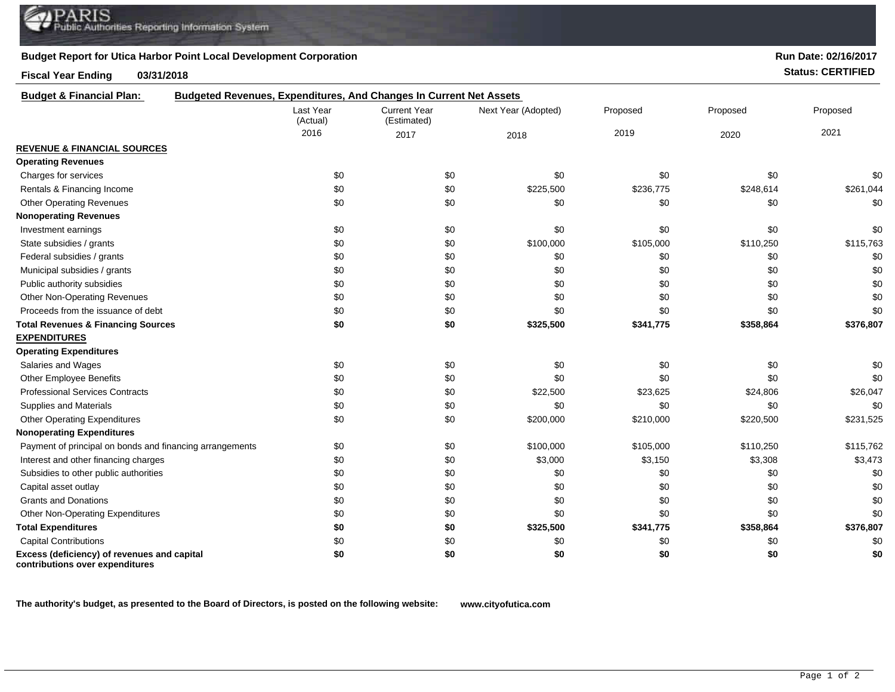## **Budget Report for Utica Harbor Point Local Development Corporation**

## **Fiscal Year Ending 03/31/2018 Status: CERTIFIED**

| <b>Budget &amp; Financial Plan:</b>                                            | Budgeted Revenues, Expenditures, And Changes In Current Net Assets |                                    |                     |           |           |           |
|--------------------------------------------------------------------------------|--------------------------------------------------------------------|------------------------------------|---------------------|-----------|-----------|-----------|
|                                                                                | Last Year<br>(Actual)                                              | <b>Current Year</b><br>(Estimated) | Next Year (Adopted) | Proposed  | Proposed  | Proposed  |
|                                                                                | 2016                                                               | 2017                               | 2018                | 2019      | 2020      | 2021      |
| <b>REVENUE &amp; FINANCIAL SOURCES</b>                                         |                                                                    |                                    |                     |           |           |           |
| <b>Operating Revenues</b>                                                      |                                                                    |                                    |                     |           |           |           |
| Charges for services                                                           | \$0                                                                | \$0                                | \$0                 | \$0       | \$0       | \$0       |
| Rentals & Financing Income                                                     | \$0                                                                | \$0                                | \$225,500           | \$236,775 | \$248,614 | \$261,044 |
| <b>Other Operating Revenues</b>                                                | \$0                                                                | \$0                                | \$0                 | \$0       | \$0       | \$0       |
| <b>Nonoperating Revenues</b>                                                   |                                                                    |                                    |                     |           |           |           |
| Investment earnings                                                            | \$0                                                                | \$0                                | \$0                 | \$0       | \$0       | \$0       |
| State subsidies / grants                                                       | \$0                                                                | \$0                                | \$100,000           | \$105,000 | \$110,250 | \$115,763 |
| Federal subsidies / grants                                                     | \$0                                                                | \$0                                | \$0                 | \$0       | \$0       | \$0       |
| Municipal subsidies / grants                                                   | \$0                                                                | \$0                                | \$0                 | \$0       | \$0       | \$0       |
| Public authority subsidies                                                     | \$0                                                                | \$0                                | \$0                 | \$0       | \$0       | \$0       |
| Other Non-Operating Revenues                                                   | \$0                                                                | \$0                                | \$0                 | \$0       | \$0       | \$0       |
| Proceeds from the issuance of debt                                             | \$0                                                                | \$0                                | \$0                 | \$0       | \$0       | \$0       |
| <b>Total Revenues &amp; Financing Sources</b>                                  | \$0                                                                | \$0                                | \$325,500           | \$341,775 | \$358,864 | \$376,807 |
| <b>EXPENDITURES</b>                                                            |                                                                    |                                    |                     |           |           |           |
| <b>Operating Expenditures</b>                                                  |                                                                    |                                    |                     |           |           |           |
| Salaries and Wages                                                             | \$0                                                                | \$0                                | \$0                 | \$0       | \$0       | \$0       |
| Other Employee Benefits                                                        | \$0                                                                | \$0                                | \$0                 | \$0       | \$0       | \$0       |
| <b>Professional Services Contracts</b>                                         | \$0                                                                | \$0                                | \$22,500            | \$23,625  | \$24,806  | \$26,047  |
| Supplies and Materials                                                         | \$0                                                                | \$0                                | \$0                 | \$0       | \$0       | \$0       |
| <b>Other Operating Expenditures</b>                                            | \$0                                                                | \$0                                | \$200,000           | \$210,000 | \$220,500 | \$231,525 |
| <b>Nonoperating Expenditures</b>                                               |                                                                    |                                    |                     |           |           |           |
| Payment of principal on bonds and financing arrangements                       | \$0                                                                | \$0                                | \$100,000           | \$105,000 | \$110,250 | \$115,762 |
| Interest and other financing charges                                           | \$0                                                                | \$0                                | \$3,000             | \$3,150   | \$3,308   | \$3,473   |
| Subsidies to other public authorities                                          | \$0                                                                | \$0                                | \$0                 | \$0       | \$0       | \$0       |
| Capital asset outlay                                                           | \$0                                                                | \$0                                | \$0                 | \$0       | \$0       | \$0       |
| <b>Grants and Donations</b>                                                    | \$0                                                                | \$0                                | \$0                 | \$0       | \$0       | \$0       |
| <b>Other Non-Operating Expenditures</b>                                        | \$0                                                                | \$0                                | \$0                 | \$0       | \$0       | \$0       |
| <b>Total Expenditures</b>                                                      | \$0                                                                | \$0                                | \$325,500           | \$341,775 | \$358,864 | \$376,807 |
| <b>Capital Contributions</b>                                                   | \$0                                                                | \$0                                | \$0                 | \$0       | \$0       | \$0       |
| Excess (deficiency) of revenues and capital<br>contributions over expenditures | \$0                                                                | \$0                                | \$0                 | \$0       | \$0       | \$0       |

**The authority's budget, as presented to the Board of Directors, is posted on the following website: www.cityofutica.com**